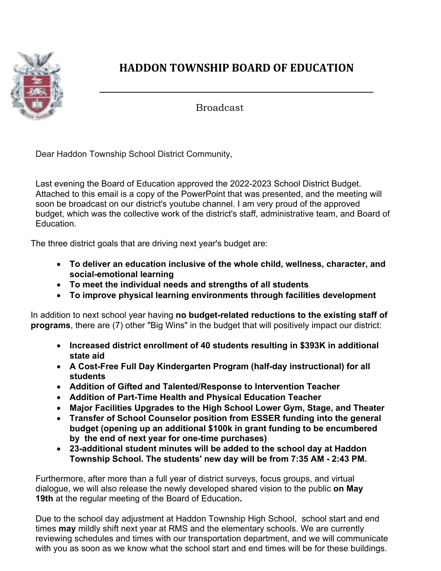

## **HADDON TOWNSHIP BOARD OF EDUCATION**

**\_\_\_\_\_\_\_\_\_\_\_\_\_\_\_\_\_\_\_\_\_\_\_\_\_\_\_\_\_\_\_\_\_\_\_\_\_\_\_\_\_\_\_\_\_\_\_\_\_\_\_\_\_\_\_\_\_**

Broadcast

Dear Haddon Township School District Community,

Last evening the Board of Education approved the 2022-2023 School District Budget. Attached to this email is a copy of the PowerPoint that was presented, and the meeting will soon be broadcast on our district's youtube channel. I am very proud of the approved budget, which was the collective work of the district's staff, administrative team, and Board of Education.

The three district goals that are driving next year's budget are:

- **To deliver an education inclusive of the whole child, wellness, character, and social-emotional learning**
- **To meet the individual needs and strengths of all students**
- **To improve physical learning environments through facilities development**

In addition to next school year having **no budget-related reductions to the existing staff of programs**, there are (7) other "Big Wins" in the budget that will positively impact our district:

- **Increased district enrollment of 40 students resulting in \$393K in additional state aid**
- **A Cost-Free Full Day Kindergarten Program (half-day instructional) for all students**
- **Addition of Gifted and Talented/Response to Intervention Teacher**
- **Addition of Part-Time Health and Physical Education Teacher**
- **Major Facilities Upgrades to the High School Lower Gym, Stage, and Theater**
- **Transfer of School Counselor position from ESSER funding into the general budget (opening up an additional \$100k in grant funding to be encumbered by the end of next year for one-time purchases)**
- **23-additional student minutes will be added to the school day at Haddon Township School. The students' new day will be from 7:35 AM - 2:43 PM.**

Furthermore, after more than a full year of district surveys, focus groups, and virtual dialogue, we will also release the newly developed shared vision to the public **on May 19th** at the regular meeting of the Board of Education**.**

Due to the school day adjustment at Haddon Township High School, school start and end times **may** mildly shift next year at RMS and the elementary schools. We are currently reviewing schedules and times with our transportation department, and we will communicate with you as soon as we know what the school start and end times will be for these buildings.